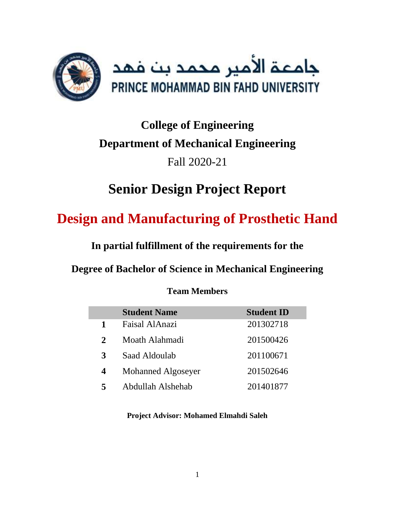

# **College of Engineering Department of Mechanical Engineering** Fall 2020-21

# **Senior Design Project Report**

# **Design and Manufacturing of Prosthetic Hand**

**In partial fulfillment of the requirements for the** 

**Degree of Bachelor of Science in Mechanical Engineering**

| <b>Team Members</b> |
|---------------------|
|                     |

|              | <b>Student Name</b> | <b>Student ID</b> |
|--------------|---------------------|-------------------|
| 1            | Faisal AlAnazi      | 201302718         |
| $\mathbf{2}$ | Moath Alahmadi      | 201500426         |
| 3            | Saad Aldoulab       | 201100671         |
| 4            | Mohanned Algoseyer  | 201502646         |
| 5            | Abdullah Alshehab   | 201401877         |

## **Project Advisor: Mohamed Elmahdi Saleh**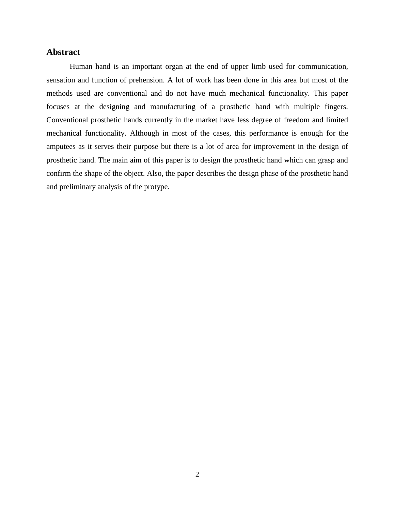#### <span id="page-1-0"></span>**Abstract**

Human hand is an important organ at the end of upper limb used for communication, sensation and function of prehension. A lot of work has been done in this area but most of the methods used are conventional and do not have much mechanical functionality. This paper focuses at the designing and manufacturing of a prosthetic hand with multiple fingers. Conventional prosthetic hands currently in the market have less degree of freedom and limited mechanical functionality. Although in most of the cases, this performance is enough for the amputees as it serves their purpose but there is a lot of area for improvement in the design of prosthetic hand. The main aim of this paper is to design the prosthetic hand which can grasp and confirm the shape of the object. Also, the paper describes the design phase of the prosthetic hand and preliminary analysis of the protype.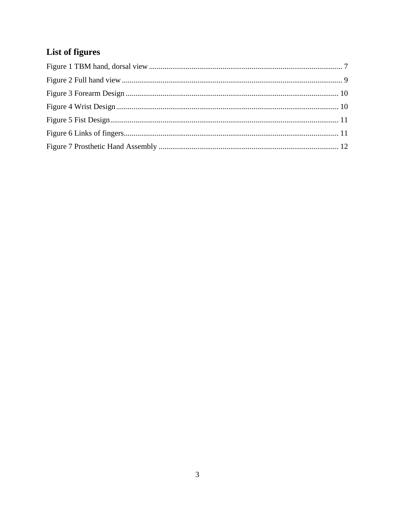## <span id="page-2-0"></span>**List of figures**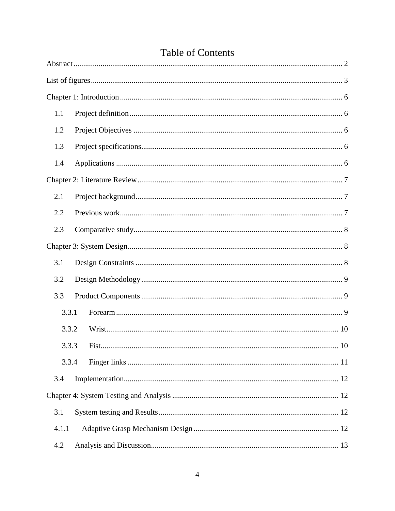| 1.1   |             |  |  |  |
|-------|-------------|--|--|--|
| 1.2   |             |  |  |  |
| 1.3   |             |  |  |  |
| 1.4   |             |  |  |  |
|       |             |  |  |  |
| 2.1   |             |  |  |  |
| 2.2   |             |  |  |  |
| 2.3   |             |  |  |  |
|       |             |  |  |  |
| 3.1   |             |  |  |  |
| 3.2   |             |  |  |  |
| 3.3   |             |  |  |  |
| 3.3.1 |             |  |  |  |
| 3.3.2 |             |  |  |  |
| 3.3.3 | 10<br>Fist. |  |  |  |
| 3.3.4 |             |  |  |  |
| 3.4   |             |  |  |  |
|       |             |  |  |  |
| 3.1   |             |  |  |  |
| 4.1.1 |             |  |  |  |
| 4.2   |             |  |  |  |

## **Table of Contents**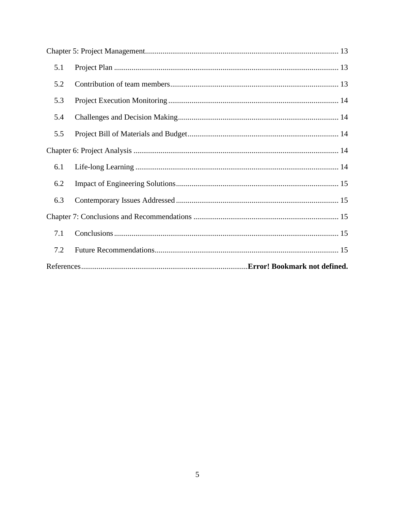| 5.1 |  |  |
|-----|--|--|
| 5.2 |  |  |
| 5.3 |  |  |
| 5.4 |  |  |
| 5.5 |  |  |
|     |  |  |
| 6.1 |  |  |
| 6.2 |  |  |
| 6.3 |  |  |
|     |  |  |
| 7.1 |  |  |
| 7.2 |  |  |
|     |  |  |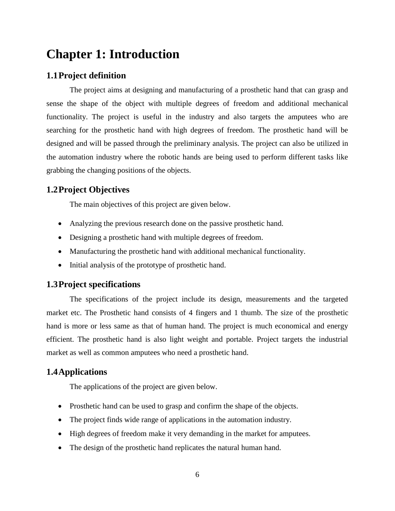## <span id="page-5-0"></span>**Chapter 1: Introduction**

## <span id="page-5-1"></span>**1.1Project definition**

The project aims at designing and manufacturing of a prosthetic hand that can grasp and sense the shape of the object with multiple degrees of freedom and additional mechanical functionality. The project is useful in the industry and also targets the amputees who are searching for the prosthetic hand with high degrees of freedom. The prosthetic hand will be designed and will be passed through the preliminary analysis. The project can also be utilized in the automation industry where the robotic hands are being used to perform different tasks like grabbing the changing positions of the objects.

## <span id="page-5-2"></span>**1.2Project Objectives**

The main objectives of this project are given below.

- Analyzing the previous research done on the passive prosthetic hand.
- Designing a prosthetic hand with multiple degrees of freedom.
- Manufacturing the prosthetic hand with additional mechanical functionality.
- Initial analysis of the prototype of prosthetic hand.

## <span id="page-5-3"></span>**1.3Project specifications**

The specifications of the project include its design, measurements and the targeted market etc. The Prosthetic hand consists of 4 fingers and 1 thumb. The size of the prosthetic hand is more or less same as that of human hand. The project is much economical and energy efficient. The prosthetic hand is also light weight and portable. Project targets the industrial market as well as common amputees who need a prosthetic hand.

### <span id="page-5-4"></span>**1.4Applications**

The applications of the project are given below.

- Prosthetic hand can be used to grasp and confirm the shape of the objects.
- The project finds wide range of applications in the automation industry.
- High degrees of freedom make it very demanding in the market for amputees.
- The design of the prosthetic hand replicates the natural human hand.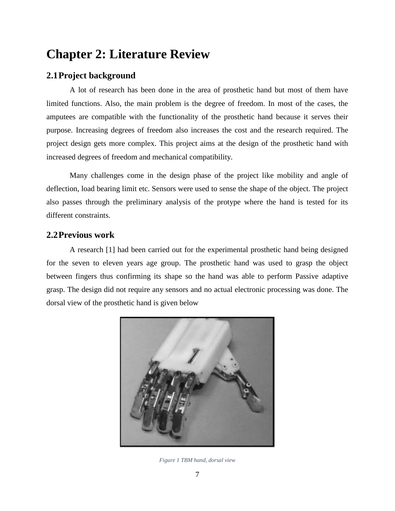## <span id="page-6-1"></span>**Chapter 2: Literature Review**

## <span id="page-6-2"></span>**2.1Project background**

A lot of research has been done in the area of prosthetic hand but most of them have limited functions. Also, the main problem is the degree of freedom. In most of the cases, the amputees are compatible with the functionality of the prosthetic hand because it serves their purpose. Increasing degrees of freedom also increases the cost and the research required. The project design gets more complex. This project aims at the design of the prosthetic hand with increased degrees of freedom and mechanical compatibility.

Many challenges come in the design phase of the project like mobility and angle of deflection, load bearing limit etc. Sensors were used to sense the shape of the object. The project also passes through the preliminary analysis of the protype where the hand is tested for its different constraints.

## <span id="page-6-3"></span>**2.2Previous work**

A research [1] had been carried out for the experimental prosthetic hand being designed for the seven to eleven years age group. The prosthetic hand was used to grasp the object between fingers thus confirming its shape so the hand was able to perform Passive adaptive grasp. The design did not require any sensors and no actual electronic processing was done. The dorsal view of the prosthetic hand is given below

<span id="page-6-0"></span>

*Figure 1 TBM hand, dorsal view*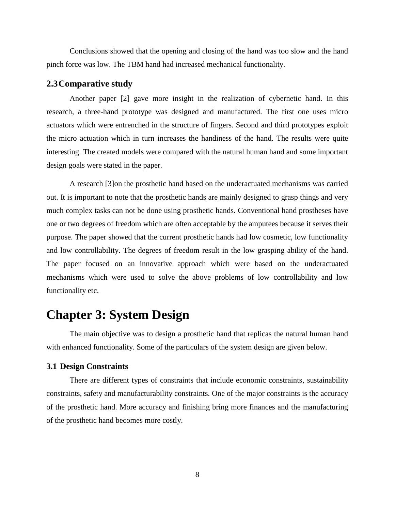Conclusions showed that the opening and closing of the hand was too slow and the hand pinch force was low. The TBM hand had increased mechanical functionality.

### <span id="page-7-0"></span>**2.3Comparative study**

Another paper [2] gave more insight in the realization of cybernetic hand. In this research, a three-hand prototype was designed and manufactured. The first one uses micro actuators which were entrenched in the structure of fingers. Second and third prototypes exploit the micro actuation which in turn increases the handiness of the hand. The results were quite interesting. The created models were compared with the natural human hand and some important design goals were stated in the paper.

A research [3]on the prosthetic hand based on the underactuated mechanisms was carried out. It is important to note that the prosthetic hands are mainly designed to grasp things and very much complex tasks can not be done using prosthetic hands. Conventional hand prostheses have one or two degrees of freedom which are often acceptable by the amputees because it serves their purpose. The paper showed that the current prosthetic hands had low cosmetic, low functionality and low controllability. The degrees of freedom result in the low grasping ability of the hand. The paper focused on an innovative approach which were based on the underactuated mechanisms which were used to solve the above problems of low controllability and low functionality etc.

## <span id="page-7-1"></span>**Chapter 3: System Design**

The main objective was to design a prosthetic hand that replicas the natural human hand with enhanced functionality. Some of the particulars of the system design are given below.

#### <span id="page-7-2"></span>**3.1 Design Constraints**

There are different types of constraints that include economic constraints, sustainability constraints, safety and manufacturability constraints. One of the major constraints is the accuracy of the prosthetic hand. More accuracy and finishing bring more finances and the manufacturing of the prosthetic hand becomes more costly.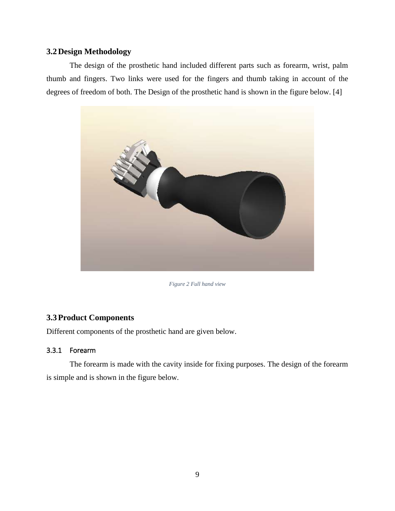### <span id="page-8-1"></span>**3.2Design Methodology**

The design of the prosthetic hand included different parts such as forearm, wrist, palm thumb and fingers. Two links were used for the fingers and thumb taking in account of the degrees of freedom of both. The Design of the prosthetic hand is shown in the figure below. [4]



*Figure 2 Full hand view*

### <span id="page-8-2"></span><span id="page-8-0"></span>**3.3Product Components**

Different components of the prosthetic hand are given below.

### <span id="page-8-3"></span>3.3.1 Forearm

The forearm is made with the cavity inside for fixing purposes. The design of the forearm is simple and is shown in the figure below.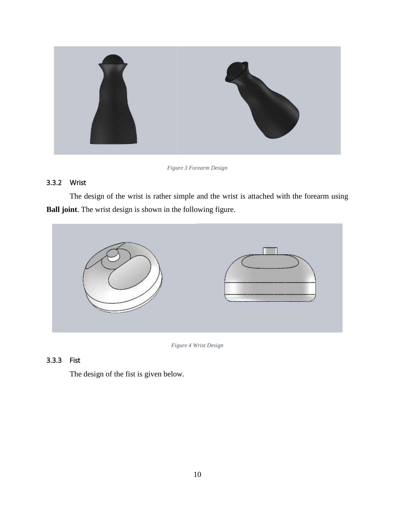

*Figure 3 Forearm Design*

## <span id="page-9-2"></span><span id="page-9-0"></span>3.3.2 Wrist

The design of the wrist is rather simple and the wrist is attached with the forearm using **Ball joint**. The wrist design is shown in the following figure.



*Figure 4 Wrist Design*

## <span id="page-9-3"></span><span id="page-9-1"></span>3.3.3 Fist

The design of the fist is given below.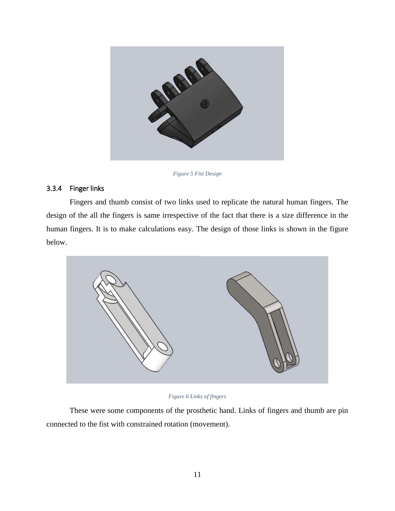

*Figure 5 Fist Design*

### <span id="page-10-2"></span><span id="page-10-0"></span>3.3.4 Finger links

Fingers and thumb consist of two links used to replicate the natural human fingers. The design of the all the fingers is same irrespective of the fact that there is a size difference in the human fingers. It is to make calculations easy. The design of those links is shown in the figure below.



*Figure 6 Links of fingers*

<span id="page-10-1"></span>These were some components of the prosthetic hand. Links of fingers and thumb are pin connected to the fist with constrained rotation (movement).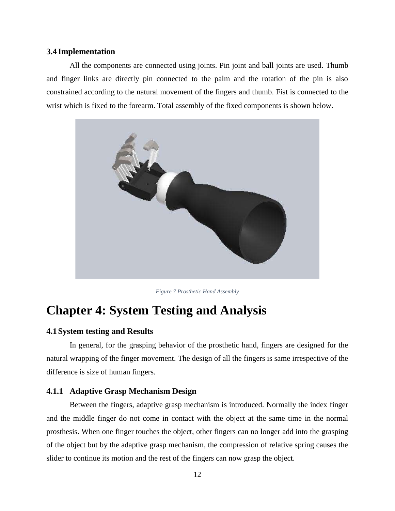#### <span id="page-11-1"></span>**3.4 Implementation**

All the components are connected using joints. Pin joint and ball joints are used. Thumb and finger links are directly pin connected to the palm and the rotation of the pin is also constrained according to the natural movement of the fingers and thumb. Fist is connected to the wrist which is fixed to the forearm. Total assembly of the fixed components is shown below.



*Figure 7 Prosthetic Hand Assembly*

## <span id="page-11-2"></span><span id="page-11-0"></span>**Chapter 4: System Testing and Analysis**

### <span id="page-11-3"></span>**4.1System testing and Results**

In general, for the grasping behavior of the prosthetic hand, fingers are designed for the natural wrapping of the finger movement. The design of all the fingers is same irrespective of the difference is size of human fingers.

#### <span id="page-11-4"></span>**4.1.1 Adaptive Grasp Mechanism Design**

Between the fingers, adaptive grasp mechanism is introduced. Normally the index finger and the middle finger do not come in contact with the object at the same time in the normal prosthesis. When one finger touches the object, other fingers can no longer add into the grasping of the object but by the adaptive grasp mechanism, the compression of relative spring causes the slider to continue its motion and the rest of the fingers can now grasp the object.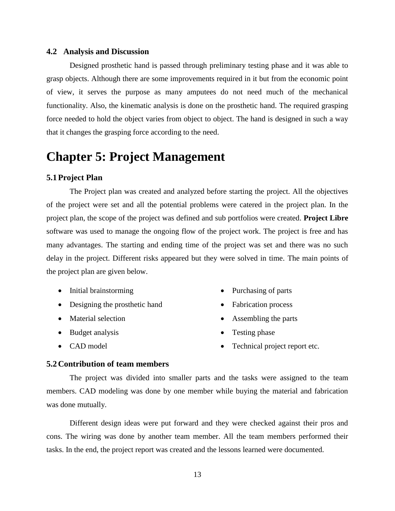#### <span id="page-12-0"></span>**4.2 Analysis and Discussion**

Designed prosthetic hand is passed through preliminary testing phase and it was able to grasp objects. Although there are some improvements required in it but from the economic point of view, it serves the purpose as many amputees do not need much of the mechanical functionality. Also, the kinematic analysis is done on the prosthetic hand. The required grasping force needed to hold the object varies from object to object. The hand is designed in such a way that it changes the grasping force according to the need.

## <span id="page-12-1"></span>**Chapter 5: Project Management**

#### <span id="page-12-2"></span>**5.1Project Plan**

The Project plan was created and analyzed before starting the project. All the objectives of the project were set and all the potential problems were catered in the project plan. In the project plan, the scope of the project was defined and sub portfolios were created. **Project Libre** software was used to manage the ongoing flow of the project work. The project is free and has many advantages. The starting and ending time of the project was set and there was no such delay in the project. Different risks appeared but they were solved in time. The main points of the project plan are given below.

- Initial brainstorming
- Designing the prosthetic hand
- Material selection
- Budget analysis
- CAD model
- Purchasing of parts
- Fabrication process
- Assembling the parts
- Testing phase
- Technical project report etc.

#### <span id="page-12-3"></span>**5.2Contribution of team members**

The project was divided into smaller parts and the tasks were assigned to the team members. CAD modeling was done by one member while buying the material and fabrication was done mutually.

Different design ideas were put forward and they were checked against their pros and cons. The wiring was done by another team member. All the team members performed their tasks. In the end, the project report was created and the lessons learned were documented.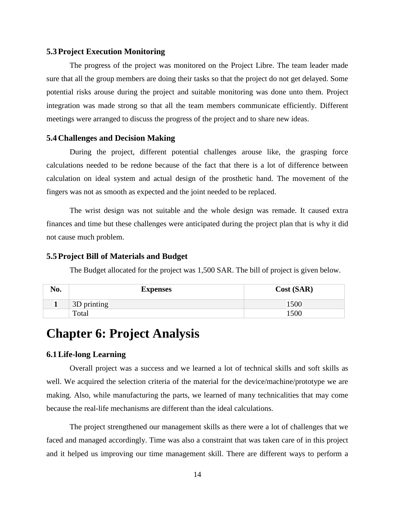#### <span id="page-13-0"></span>**5.3Project Execution Monitoring**

The progress of the project was monitored on the Project Libre. The team leader made sure that all the group members are doing their tasks so that the project do not get delayed. Some potential risks arouse during the project and suitable monitoring was done unto them. Project integration was made strong so that all the team members communicate efficiently. Different meetings were arranged to discuss the progress of the project and to share new ideas.

### <span id="page-13-1"></span>**5.4Challenges and Decision Making**

During the project, different potential challenges arouse like, the grasping force calculations needed to be redone because of the fact that there is a lot of difference between calculation on ideal system and actual design of the prosthetic hand. The movement of the fingers was not as smooth as expected and the joint needed to be replaced.

The wrist design was not suitable and the whole design was remade. It caused extra finances and time but these challenges were anticipated during the project plan that is why it did not cause much problem.

#### <span id="page-13-2"></span>**5.5Project Bill of Materials and Budget**

The Budget allocated for the project was 1,500 SAR. The bill of project is given below.

| No. | <b>Expenses</b> | Cost (SAR) |
|-----|-----------------|------------|
|     | 3D printing     | 1500       |
|     | Total           | .500       |

## <span id="page-13-3"></span>**Chapter 6: Project Analysis**

#### <span id="page-13-4"></span>**6.1Life-long Learning**

Overall project was a success and we learned a lot of technical skills and soft skills as well. We acquired the selection criteria of the material for the device/machine/prototype we are making. Also, while manufacturing the parts, we learned of many technicalities that may come because the real-life mechanisms are different than the ideal calculations.

The project strengthened our management skills as there were a lot of challenges that we faced and managed accordingly. Time was also a constraint that was taken care of in this project and it helped us improving our time management skill. There are different ways to perform a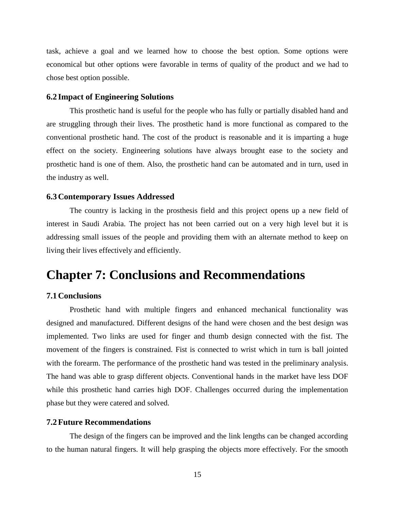task, achieve a goal and we learned how to choose the best option. Some options were economical but other options were favorable in terms of quality of the product and we had to chose best option possible.

#### <span id="page-14-0"></span>**6.2 Impact of Engineering Solutions**

This prosthetic hand is useful for the people who has fully or partially disabled hand and are struggling through their lives. The prosthetic hand is more functional as compared to the conventional prosthetic hand. The cost of the product is reasonable and it is imparting a huge effect on the society. Engineering solutions have always brought ease to the society and prosthetic hand is one of them. Also, the prosthetic hand can be automated and in turn, used in the industry as well.

### <span id="page-14-1"></span>**6.3Contemporary Issues Addressed**

The country is lacking in the prosthesis field and this project opens up a new field of interest in Saudi Arabia. The project has not been carried out on a very high level but it is addressing small issues of the people and providing them with an alternate method to keep on living their lives effectively and efficiently.

## <span id="page-14-2"></span>**Chapter 7: Conclusions and Recommendations**

### <span id="page-14-3"></span>**7.1Conclusions**

Prosthetic hand with multiple fingers and enhanced mechanical functionality was designed and manufactured. Different designs of the hand were chosen and the best design was implemented. Two links are used for finger and thumb design connected with the fist. The movement of the fingers is constrained. Fist is connected to wrist which in turn is ball jointed with the forearm. The performance of the prosthetic hand was tested in the preliminary analysis. The hand was able to grasp different objects. Conventional hands in the market have less DOF while this prosthetic hand carries high DOF. Challenges occurred during the implementation phase but they were catered and solved.

#### <span id="page-14-4"></span>**7.2Future Recommendations**

The design of the fingers can be improved and the link lengths can be changed according to the human natural fingers. It will help grasping the objects more effectively. For the smooth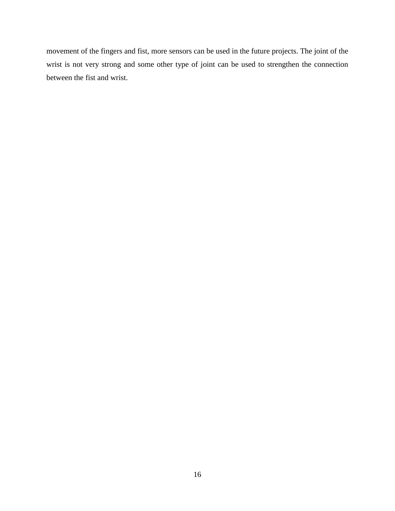movement of the fingers and fist, more sensors can be used in the future projects. The joint of the wrist is not very strong and some other type of joint can be used to strengthen the connection between the fist and wrist.